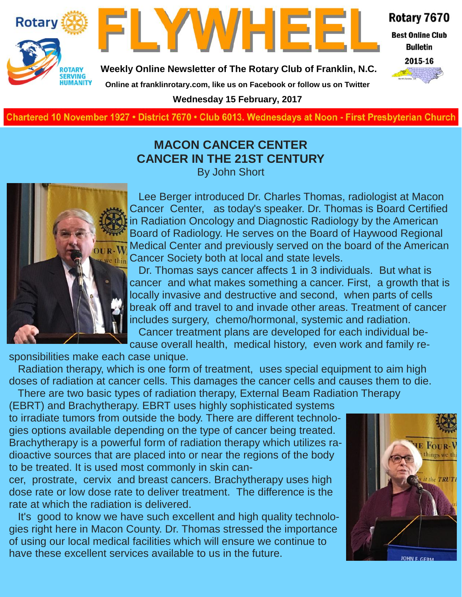



Rotary 7670

**Best Online Club Bulletin** 

2015-16

**Weekly Online Newsletter of The Rotary Club of Franklin, N.C.**

**Online at franklinrotary.com, like us on Facebook or follow us on Twitter**

**Wednesday 15 February, 2017**

**Charted November 29, 1927 • District 7670 • Club 6013 Wednesdays at Noon - First Presbyterian Church**

#### **MACON CANCER CENTER CANCER IN THE 21ST CENTURY** By John Short



Lee Berger introduced Dr. Charles Thomas, radiologist at Macon Cancer Center, as today's speaker. Dr. Thomas is Board Certified in Radiation Oncology and Diagnostic Radiology by the American Board of Radiology. He serves on the Board of Haywood Regional Medical Center and previously served on the board of the American thin Cancer Society both at local and state levels.

Dr. Thomas says cancer affects 1 in 3 individuals. But what is cancer and what makes something a cancer. First, a growth that is locally invasive and destructive and second, when parts of cells break off and travel to and invade other areas. Treatment of cancer includes surgery, chemo/hormonal, systemic and radiation. Cancer treatment plans are developed for each individual because overall health, medical history, even work and family re-

sponsibilities make each case unique.

Radiation therapy, which is one form of treatment, uses special equipment to aim high doses of radiation at cancer cells. This damages the cancer cells and causes them to die. There are two basic types of radiation therapy, External Beam Radiation Therapy

(EBRT) and Brachytherapy. EBRT uses highly sophisticated systems to irradiate tumors from outside the body. There are different technologies options available depending on the type of cancer being treated. Brachytherapy is a powerful form of radiation therapy which utilizes radioactive sources that are placed into or near the regions of the body to be treated. It is used most commonly in skin can-

cer, prostrate, cervix and breast cancers. Brachytherapy uses high dose rate or low dose rate to deliver treatment. The difference is the rate at which the radiation is delivered.

It's good to know we have such excellent and high quality technologies right here in Macon County. Dr. Thomas stressed the importance of using our local medical facilities which will ensure we continue to have these excellent services available to us in the future.

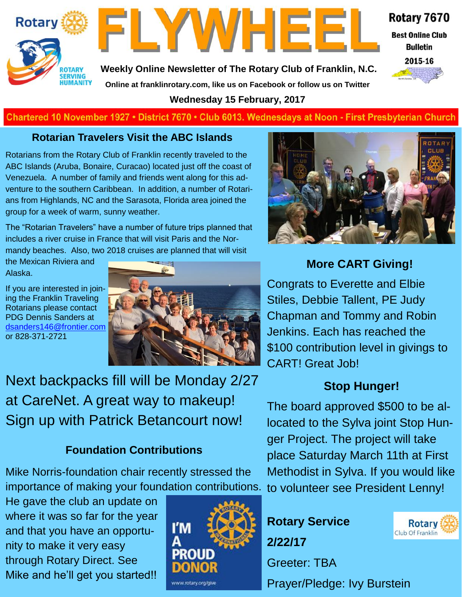



Rotary 7670 **Best Online Club** 

**Bulletin** 



**Weekly Online Newsletter of The Rotary Club of Franklin, N.C. Online at franklinrotary.com, like us on Facebook or follow us on Twitter**

**Wednesday 15 February, 2017**

#### **Charted November 29, 1927 • District 7670 • Club 6013 Wednesdays at Noon - First Presbyterian Church**

#### **Rotarian Travelers Visit the ABC Islands**

Rotarians from the Rotary Club of Franklin recently traveled to the ABC Islands (Aruba, Bonaire, Curacao) located just off the coast of Venezuela. A number of family and friends went along for this adventure to the southern Caribbean. In addition, a number of Rotarians from Highlands, NC and the Sarasota, Florida area joined the group for a week of warm, sunny weather.

The "Rotarian Travelers" have a number of future trips planned that includes a river cruise in France that will visit Paris and the Normandy beaches. Also, two 2018 cruises are planned that will visit

the Mexican Riviera and Alaska.

If you are interested in joining the Franklin Traveling Rotarians please contact PDG Dennis Sanders at [dsanders146@frontier.com](mailto:dsanders146@frontier.com) or 828-371-2721



Next backpacks fill will be Monday 2/27 at CareNet. A great way to makeup! Sign up with Patrick Betancourt now!

### **Foundation Contributions**

Mike Norris-foundation chair recently stressed the importance of making your foundation contributions.

He gave the club an update on where it was so far for the year and that you have an opportunity to make it very easy through Rotary Direct. See Mike and he'll get you started!!





# **More CART Giving!**

Congrats to Everette and Elbie Stiles, Debbie Tallent, PE Judy Chapman and Tommy and Robin Jenkins. Each has reached the \$100 contribution level in givings to CART! Great Job!

# **Stop Hunger!**

The board approved \$500 to be allocated to the Sylva joint Stop Hunger Project. The project will take place Saturday March 11th at First Methodist in Sylva. If you would like to volunteer see President Lenny!





Prayer/Pledge: Ivy Burstein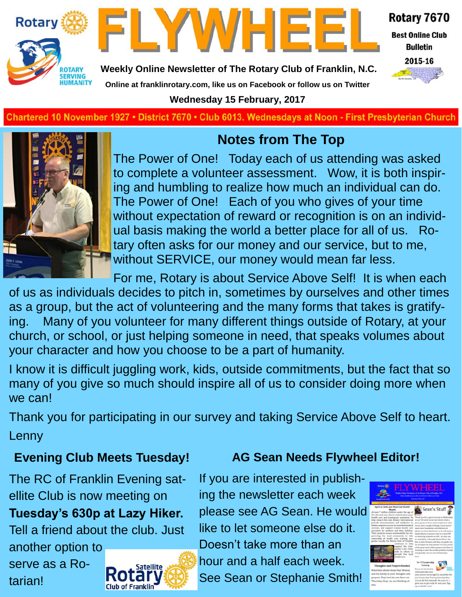



Rotary 7670

**Best Online Club Bulletin** 

2015-16

**Weekly Online Newsletter of The Rotary Club of Franklin, N.C.**

**Online at franklinrotary.com, like us on Facebook or follow us on Twitter**

**Wednesday 15 February, 2017**

**Charted November 29, 1927 • District 7670 • Club 6013 Wednesdays at Noon - First Presbyterian Church**



# **Notes from The Top**

The Power of One! Today each of us attending was asked to complete a volunteer assessment. Wow, it is both inspiring and humbling to realize how much an individual can do. The Power of One! Each of you who gives of your time without expectation of reward or recognition is on an individual basis making the world a better place for all of us. Rotary often asks for our money and our service, but to me, without SERVICE, our money would mean far less.

For me, Rotary is about Service Above Self! It is when each

of us as individuals decides to pitch in, sometimes by ourselves and other times as a group, but the act of volunteering and the many forms that takes is gratifying. Many of you volunteer for many different things outside of Rotary, at your church, or school, or just helping someone in need, that speaks volumes about your character and how you choose to be a part of humanity.

I know it is difficult juggling work, kids, outside commitments, but the fact that so many of you give so much should inspire all of us to consider doing more when we can!

Thank you for participating in our survey and taking Service Above Self to heart.

Lenny

# **Evening Club Meets Tuesday!**

The RC of Franklin Evening satellite Club is now meeting on

**Tuesday's 630p at Lazy Hiker.** 

Tell a friend about the club. Just another option to

serve as a Rotarian!



# **AG Sean Needs Flywheel Editor!**

If you are interested in publishing the newsletter each week please see AG Sean. He would like to let someone else do it. Doesn't take more than an hour and a half each week. See Sean or Stephanie Smith!

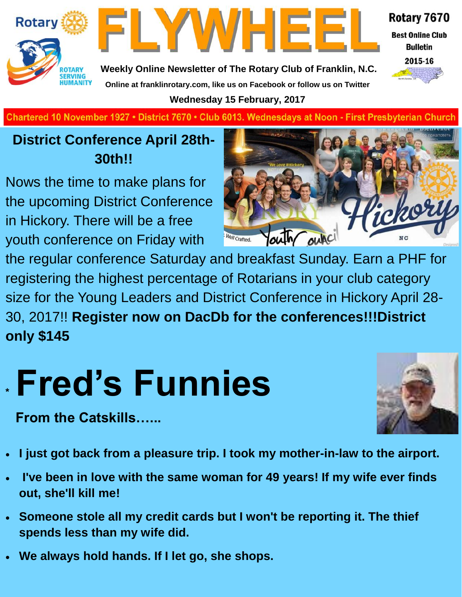

FLYWHEE

Rotary 7670 **Best Online Club** 

**Bulletin** 



**Weekly Online Newsletter of The Rotary Club of Franklin, N.C. Online at franklinrotary.com, like us on Facebook or follow us on Twitter Wednesday 15 February, 2017**

**Charted November 29, 1927 • District 7670 • Club 6013 Wednesdays at Noon - First Presbyterian Church**

# **District Conference April 28th-30th!!**

Nows the time to make plans for the upcoming District Conference in Hickory. There will be a free youth conference on Friday with



the regular conference Saturday and breakfast Sunday. Earn a PHF for registering the highest percentage of Rotarians in your club category size for the Young Leaders and District Conference in Hickory April 28- 30, 2017!! **Register now on DacDb for the conferences!!!District only \$145**

# **Fred's Funnies \***

**From the Catskills…...**



- **I just got back from a pleasure trip. I took my mother-in-law to the airport.**
- **I've been in love with the same woman for 49 years! If my wife ever finds out, she'll kill me!**
- **Someone stole all my credit cards but I won't be reporting it. The thief spends less than my wife did.**
- **We always hold hands. If I let go, she shops.**